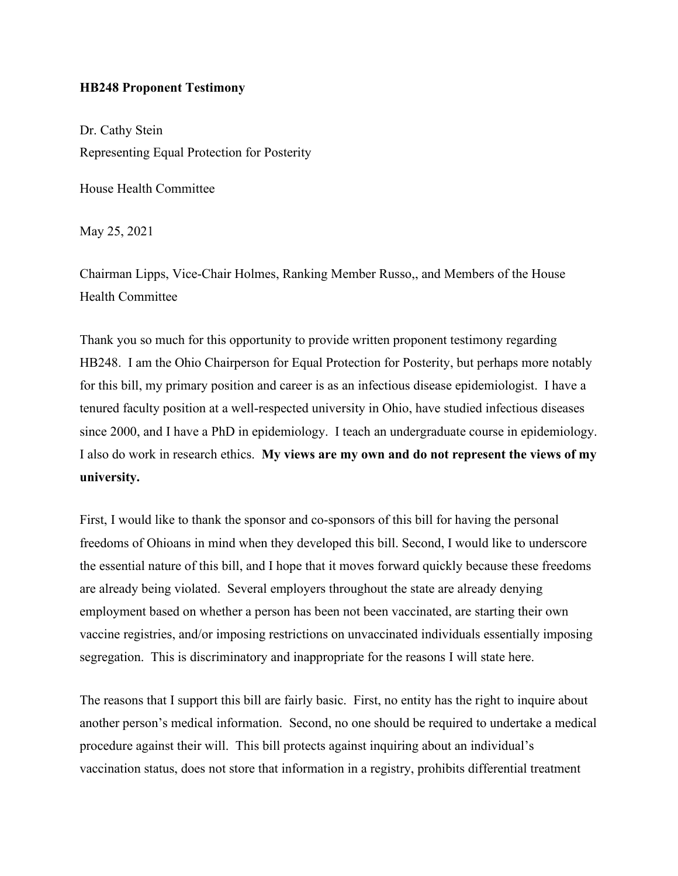## **HB248 Proponent Testimony**

Dr. Cathy Stein Representing Equal Protection for Posterity

House Health Committee

May 25, 2021

Chairman Lipps, Vice-Chair Holmes, Ranking Member Russo,, and Members of the House Health Committee

Thank you so much for this opportunity to provide written proponent testimony regarding HB248. I am the Ohio Chairperson for Equal Protection for Posterity, but perhaps more notably for this bill, my primary position and career is as an infectious disease epidemiologist. I have a tenured faculty position at a well-respected university in Ohio, have studied infectious diseases since 2000, and I have a PhD in epidemiology. I teach an undergraduate course in epidemiology. I also do work in research ethics. **My views are my own and do not represent the views of my university.**

First, I would like to thank the sponsor and co-sponsors of this bill for having the personal freedoms of Ohioans in mind when they developed this bill. Second, I would like to underscore the essential nature of this bill, and I hope that it moves forward quickly because these freedoms are already being violated. Several employers throughout the state are already denying employment based on whether a person has been not been vaccinated, are starting their own vaccine registries, and/or imposing restrictions on unvaccinated individuals essentially imposing segregation. This is discriminatory and inappropriate for the reasons I will state here.

The reasons that I support this bill are fairly basic. First, no entity has the right to inquire about another person's medical information. Second, no one should be required to undertake a medical procedure against their will. This bill protects against inquiring about an individual's vaccination status, does not store that information in a registry, prohibits differential treatment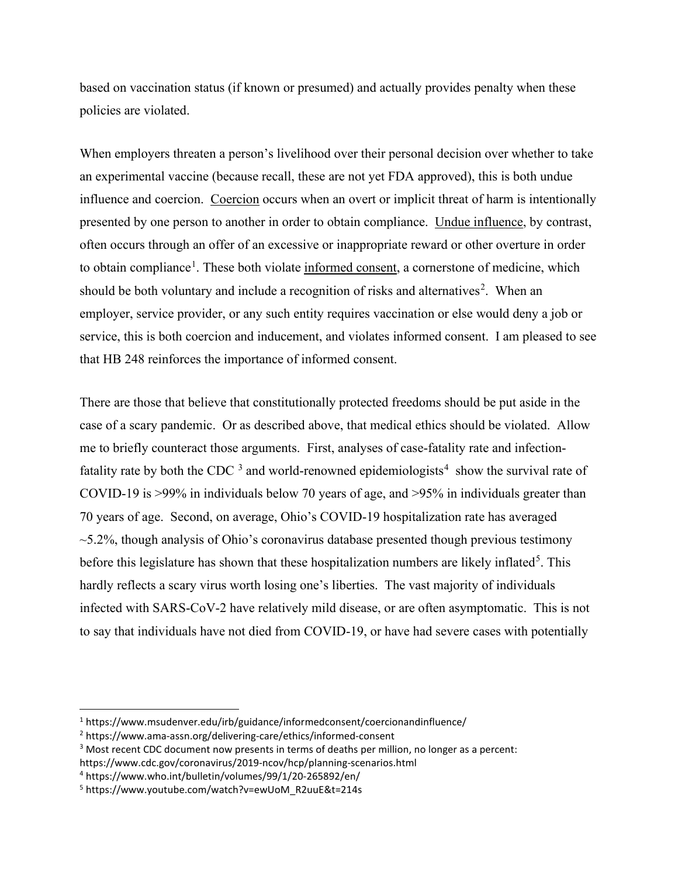based on vaccination status (if known or presumed) and actually provides penalty when these policies are violated.

When employers threaten a person's livelihood over their personal decision over whether to take an experimental vaccine (because recall, these are not yet FDA approved), this is both undue influence and coercion. Coercion occurs when an overt or implicit threat of harm is intentionally presented by one person to another in order to obtain compliance. Undue influence, by contrast, often occurs through an offer of an excessive or inappropriate reward or other overture in order to obtain compliance<sup>[1](#page-1-0)</sup>. These both violate informed consent, a cornerstone of medicine, which should be both voluntary and include a recognition of risks and alternatives<sup>[2](#page-1-1)</sup>. When an employer, service provider, or any such entity requires vaccination or else would deny a job or service, this is both coercion and inducement, and violates informed consent. I am pleased to see that HB 248 reinforces the importance of informed consent.

There are those that believe that constitutionally protected freedoms should be put aside in the case of a scary pandemic. Or as described above, that medical ethics should be violated. Allow me to briefly counteract those arguments. First, analyses of case-fatality rate and infectionfatality rate by both the CDC  $3$  and world-renowned epidemiologists<sup>[4](#page-1-3)</sup> show the survival rate of COVID-19 is >99% in individuals below 70 years of age, and >95% in individuals greater than 70 years of age. Second, on average, Ohio's COVID-19 hospitalization rate has averaged  $\sim$ 5.2%, though analysis of Ohio's coronavirus database presented though previous testimony before this legislature has shown that these hospitalization numbers are likely inflated<sup>[5](#page-1-4)</sup>. This hardly reflects a scary virus worth losing one's liberties. The vast majority of individuals infected with SARS-CoV-2 have relatively mild disease, or are often asymptomatic. This is not to say that individuals have not died from COVID-19, or have had severe cases with potentially

<span id="page-1-0"></span><sup>1</sup> https://www.msudenver.edu/irb/guidance/informedconsent/coercionandinfluence/

<span id="page-1-1"></span><sup>2</sup> https://www.ama-assn.org/delivering-care/ethics/informed-consent

<span id="page-1-2"></span><sup>&</sup>lt;sup>3</sup> Most recent CDC document now presents in terms of deaths per million, no longer as a percent:

https://www.cdc.gov/coronavirus/2019-ncov/hcp/planning-scenarios.html

<span id="page-1-3"></span><sup>4</sup> https://www.who.int/bulletin/volumes/99/1/20-265892/en/

<span id="page-1-4"></span><sup>5</sup> https://www.youtube.com/watch?v=ewUoM\_R2uuE&t=214s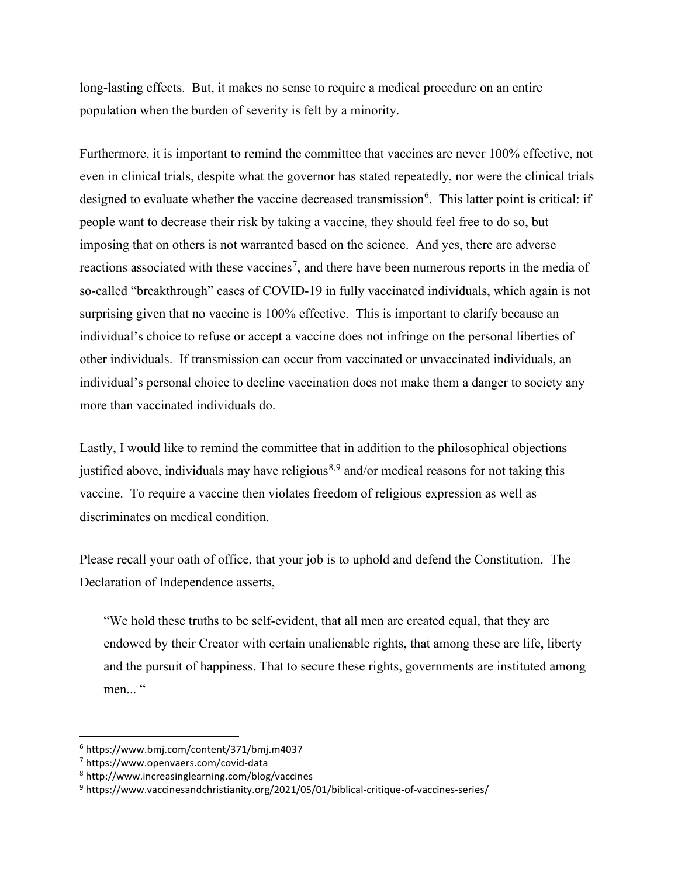long-lasting effects. But, it makes no sense to require a medical procedure on an entire population when the burden of severity is felt by a minority.

Furthermore, it is important to remind the committee that vaccines are never 100% effective, not even in clinical trials, despite what the governor has stated repeatedly, nor were the clinical trials designed to evaluate whether the vaccine decreased transmission<sup>[6](#page-2-0)</sup>. This latter point is critical: if people want to decrease their risk by taking a vaccine, they should feel free to do so, but imposing that on others is not warranted based on the science. And yes, there are adverse reactions associated with these vaccines<sup>[7](#page-2-1)</sup>, and there have been numerous reports in the media of so-called "breakthrough" cases of COVID-19 in fully vaccinated individuals, which again is not surprising given that no vaccine is 100% effective. This is important to clarify because an individual's choice to refuse or accept a vaccine does not infringe on the personal liberties of other individuals. If transmission can occur from vaccinated or unvaccinated individuals, an individual's personal choice to decline vaccination does not make them a danger to society any more than vaccinated individuals do.

Lastly, I would like to remind the committee that in addition to the philosophical objections justified above, individuals may have religious<sup>[8](#page-2-2),[9](#page-2-3)</sup> and/or medical reasons for not taking this vaccine. To require a vaccine then violates freedom of religious expression as well as discriminates on medical condition.

Please recall your oath of office, that your job is to uphold and defend the Constitution. The Declaration of Independence asserts,

"We hold these truths to be self-evident, that all men are created equal, that they are endowed by their Creator with certain unalienable rights, that among these are life, liberty and the pursuit of happiness. That to secure these rights, governments are instituted among men... "

<span id="page-2-0"></span><sup>6</sup> https://www.bmj.com/content/371/bmj.m4037

<span id="page-2-1"></span><sup>7</sup> https://www.openvaers.com/covid-data

<span id="page-2-2"></span><sup>8</sup> http://www.increasinglearning.com/blog/vaccines

<span id="page-2-3"></span><sup>9</sup> https://www.vaccinesandchristianity.org/2021/05/01/biblical-critique-of-vaccines-series/